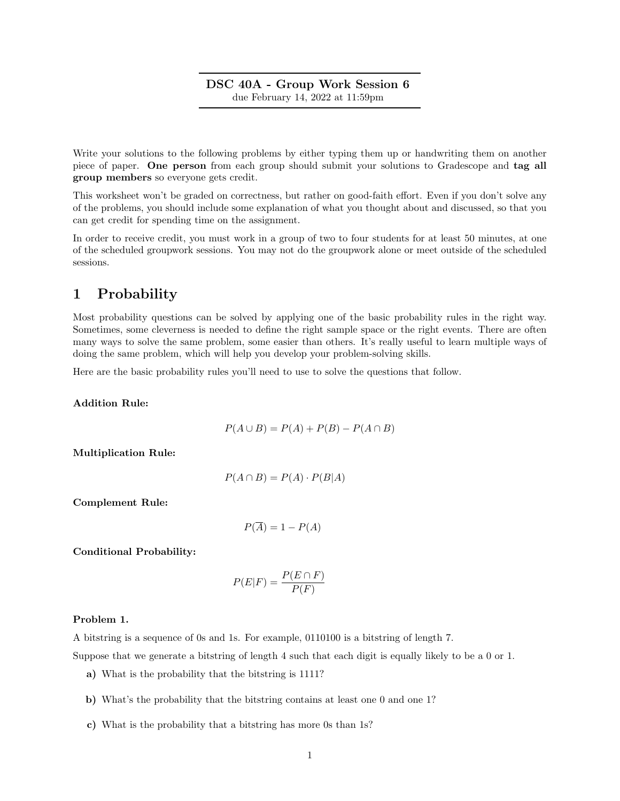# DSC 40A - Group Work Session 6 due February 14, 2022 at 11:59pm

Write your solutions to the following problems by either typing them up or handwriting them on another piece of paper. One person from each group should submit your solutions to Gradescope and tag all group members so everyone gets credit.

This worksheet won't be graded on correctness, but rather on good-faith effort. Even if you don't solve any of the problems, you should include some explanation of what you thought about and discussed, so that you can get credit for spending time on the assignment.

In order to receive credit, you must work in a group of two to four students for at least 50 minutes, at one of the scheduled groupwork sessions. You may not do the groupwork alone or meet outside of the scheduled sessions.

# 1 Probability

Most probability questions can be solved by applying one of the basic probability rules in the right way. Sometimes, some cleverness is needed to define the right sample space or the right events. There are often many ways to solve the same problem, some easier than others. It's really useful to learn multiple ways of doing the same problem, which will help you develop your problem-solving skills.

Here are the basic probability rules you'll need to use to solve the questions that follow.

Addition Rule:

$$
P(A \cup B) = P(A) + P(B) - P(A \cap B)
$$

Multiplication Rule:

$$
P(A \cap B) = P(A) \cdot P(B|A)
$$

Complement Rule:

$$
P(\overline{A}) = 1 - P(A)
$$

Conditional Probability:

$$
P(E|F) = \frac{P(E \cap F)}{P(F)}
$$

## Problem 1.

A bitstring is a sequence of 0s and 1s. For example, 0110100 is a bitstring of length 7.

Suppose that we generate a bitstring of length 4 such that each digit is equally likely to be a 0 or 1.

- a) What is the probability that the bitstring is 1111?
- b) What's the probability that the bitstring contains at least one 0 and one 1?
- c) What is the probability that a bitstring has more 0s than 1s?